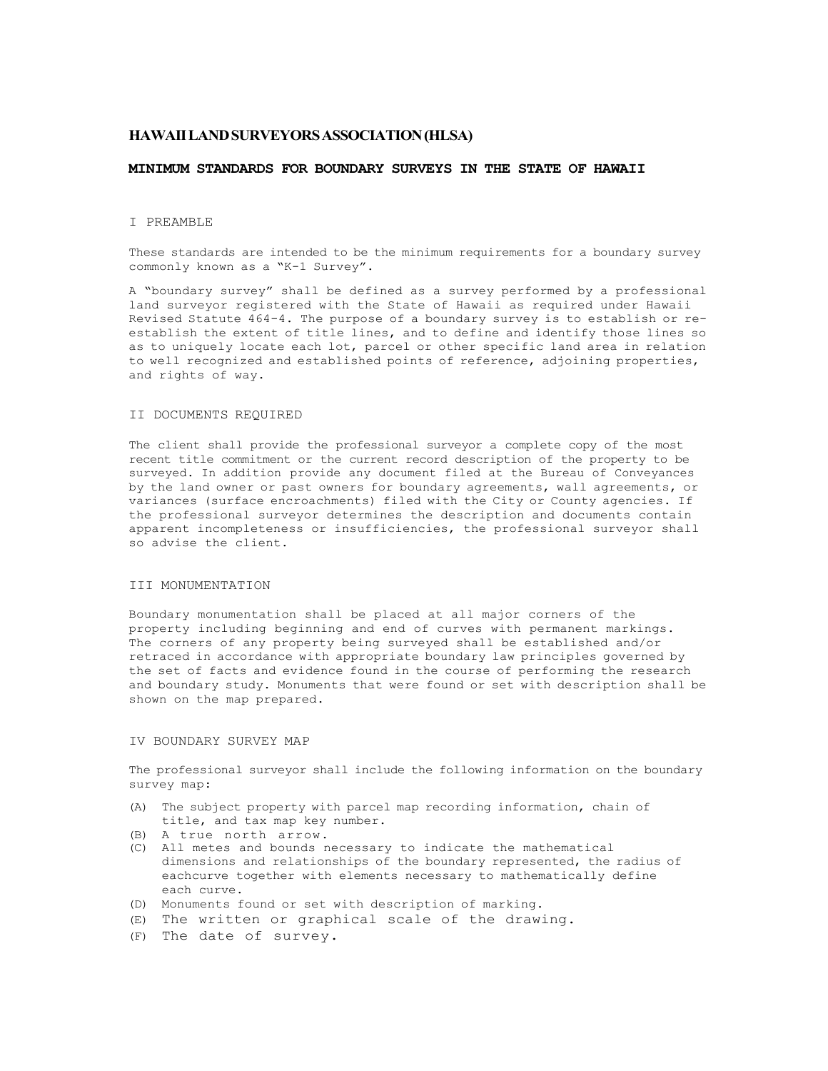# **HAWAII LAND SURVEYORS ASSOCIATION (HLSA)**

#### **MINIMUM STANDARDS FOR BOUNDARY SURVEYS IN THE STATE OF HAWAII**

## I PREAMBLE

These standards are intended to be the minimum requirements for a boundary survey commonly known as a "K-1 Survey".

A "boundary survey" shall be defined as a survey performed by a professional land surveyor registered with the State of Hawaii as required under Hawaii Revised Statute 464-4. The purpose of a boundary survey is to establish or reestablish the extent of title lines, and to define and identify those lines so as to uniquely locate each lot, parcel or other specific land area in relation to well recognized and established points of reference, adjoining properties, and rights of way.

#### II DOCUMENTS REQUIRED

The client shall provide the professional surveyor a complete copy of the most recent title commitment or the current record description of the property to be surveyed. In addition provide any document filed at the Bureau of Conveyances by the land owner or past owners for boundary agreements, wall agreements, or variances (surface encroachments) filed with the City or County agencies. If the professional surveyor determines the description and documents contain apparent incompleteness or insufficiencies, the professional surveyor shall so advise the client.

### III MONUMENTATION

Boundary monumentation shall be placed at all major corners of the property including beginning and end of curves with permanent markings. The corners of any property being surveyed shall be established and/or retraced in accordance with appropriate boundary law principles governed by the set of facts and evidence found in the course of performing the research and boundary study. Monuments that were found or set with description shall be shown on the map prepared.

## IV BOUNDARY SURVEY MAP

The professional surveyor shall include the following information on the boundary survey map:

- (A) The subject property with parcel map recording information, chain of title, and tax map key number.
- (B) A true north arrow.
- (C) All metes and bounds necessary to indicate the mathematical dimensions and relationships of the boundary represented, the radius of each curve together with elements necessary to mathematically define each curve.
- (D) Monuments found or set with description of marking.
- (E) The written or graphical scale of the drawing.
- (F) The date of survey.